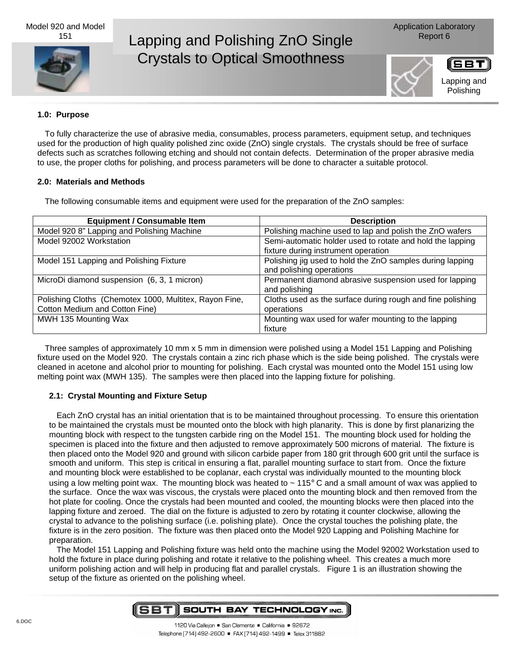Model 920 and Model 151



# Lapping and Polishing ZnO Single Report 6 Crystals to Optical Smoothness

Application Laboratory





#### **1.0: Purpose**

To fully characterize the use of abrasive media, consumables, process parameters, equipment setup, and techniques used for the production of high quality polished zinc oxide (ZnO) single crystals. The crystals should be free of surface defects such as scratches following etching and should not contain defects. Determination of the proper abrasive media to use, the proper cloths for polishing, and process parameters will be done to character a suitable protocol.

## **2.0: Materials and Methods**

The following consumable items and equipment were used for the preparation of the ZnO samples:

| <b>Equipment / Consumable Item</b>                     | <b>Description</b>                                                                               |
|--------------------------------------------------------|--------------------------------------------------------------------------------------------------|
| Model 920 8" Lapping and Polishing Machine             | Polishing machine used to lap and polish the ZnO wafers                                          |
| Model 92002 Workstation                                | Semi-automatic holder used to rotate and hold the lapping<br>fixture during instrument operation |
| Model 151 Lapping and Polishing Fixture                | Polishing jig used to hold the ZnO samples during lapping<br>and polishing operations            |
| MicroDi diamond suspension (6, 3, 1 micron)            | Permanent diamond abrasive suspension used for lapping<br>and polishing                          |
| Polishing Cloths (Chemotex 1000, Multitex, Rayon Fine, | Cloths used as the surface during rough and fine polishing                                       |
| Cotton Medium and Cotton Fine)                         | operations                                                                                       |
| MWH 135 Mounting Wax                                   | Mounting wax used for wafer mounting to the lapping                                              |
|                                                        | fixture                                                                                          |

Three samples of approximately 10 mm x 5 mm in dimension were polished using a Model 151 Lapping and Polishing fixture used on the Model 920. The crystals contain a zinc rich phase which is the side being polished. The crystals were cleaned in acetone and alcohol prior to mounting for polishing. Each crystal was mounted onto the Model 151 using low melting point wax (MWH 135). The samples were then placed into the lapping fixture for polishing.

# **2.1: Crystal Mounting and Fixture Setup**

Each ZnO crystal has an initial orientation that is to be maintained throughout processing. To ensure this orientation to be maintained the crystals must be mounted onto the block with high planarity. This is done by first planarizing the mounting block with respect to the tungsten carbide ring on the Model 151. The mounting block used for holding the specimen is placed into the fixture and then adjusted to remove approximately 500 microns of material. The fixture is then placed onto the Model 920 and ground with silicon carbide paper from 180 grit through 600 grit until the surface is smooth and uniform. This step is critical in ensuring a flat, parallel mounting surface to start from. Once the fixture and mounting block were established to be coplanar, each crystal was individually mounted to the mounting block using a low melting point wax. The mounting block was heated to  $\sim 115^{\circ}$  C and a small amount of wax was applied to the surface. Once the wax was viscous, the crystals were placed onto the mounting block and then removed from the hot plate for cooling. Once the crystals had been mounted and cooled, the mounting blocks were then placed into the lapping fixture and zeroed. The dial on the fixture is adjusted to zero by rotating it counter clockwise, allowing the crystal to advance to the polishing surface (i.e. polishing plate). Once the crystal touches the polishing plate, the fixture is in the zero position. The fixture was then placed onto the Model 920 Lapping and Polishing Machine for preparation.

The Model 151 Lapping and Polishing fixture was held onto the machine using the Model 92002 Workstation used to hold the fixture in place during polishing and rotate it relative to the polishing wheel. This creates a much more uniform polishing action and will help in producing flat and parallel crystals. Figure 1 is an illustration showing the setup of the fixture as oriented on the polishing wheel.

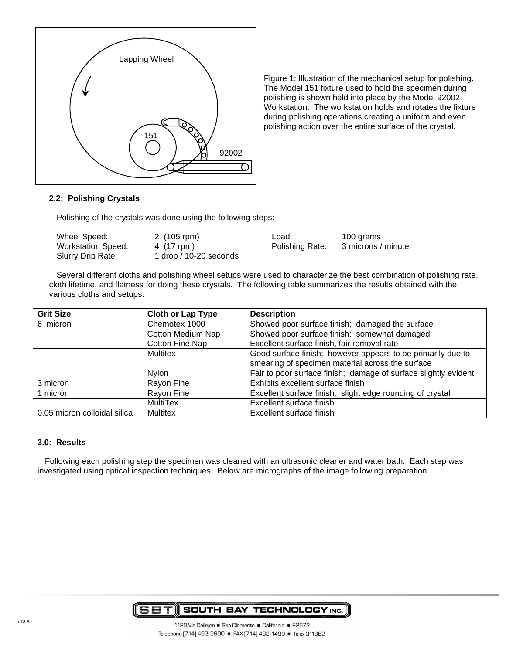

Figure 1: Illustration of the mechanical setup for polishing. The Model 151 fixture used to hold the specimen during polishing is shown held into place by the Model 92002 Workstation. The workstation holds and rotates the fixture during polishing operations creating a uniform and even polishing action over the entire surface of the crystal.

## **2.2: Polishing Crystals**

Polishing of the crystals was done using the following steps:

| Wheel Speed:              | 2 (105 rpm)            |
|---------------------------|------------------------|
| <b>Workstation Speed:</b> | 4 (17 rpm)             |
| Slurry Drip Rate:         | 1 drop / 10-20 seconds |

Load: 100 grams Polishing Rate: 3 microns / minute

Several different cloths and polishing wheel setups were used to characterize the best combination of polishing rate, cloth lifetime, and flatness for doing these crystals. The following table summarizes the results obtained with the various cloths and setups.

| <b>Grit Size</b>             | <b>Cloth or Lap Type</b> | <b>Description</b>                                              |
|------------------------------|--------------------------|-----------------------------------------------------------------|
| 6 micron                     | Chemotex 1000            | Showed poor surface finish; damaged the surface                 |
|                              | <b>Cotton Medium Nap</b> | Showed poor surface finish; somewhat damaged                    |
|                              | Cotton Fine Nap          | Excellent surface finish, fair removal rate                     |
|                              | <b>Multitex</b>          | Good surface finish; however appears to be primarily due to     |
|                              |                          | smearing of specimen material across the surface                |
|                              | Nylon                    | Fair to poor surface finish; damage of surface slightly evident |
| 3 micron                     | Rayon Fine               | Exhibits excellent surface finish                               |
| 1 micron                     | Rayon Fine               | Excellent surface finish; slight edge rounding of crystal       |
|                              | <b>MultiTex</b>          | Excellent surface finish                                        |
| 0.05 micron colloidal silica | <b>Multitex</b>          | Excellent surface finish                                        |

#### **3.0: Results**

Following each polishing step the specimen was cleaned with an ultrasonic cleaner and water bath. Each step was investigated using optical inspection techniques. Below are micrographs of the image following preparation.